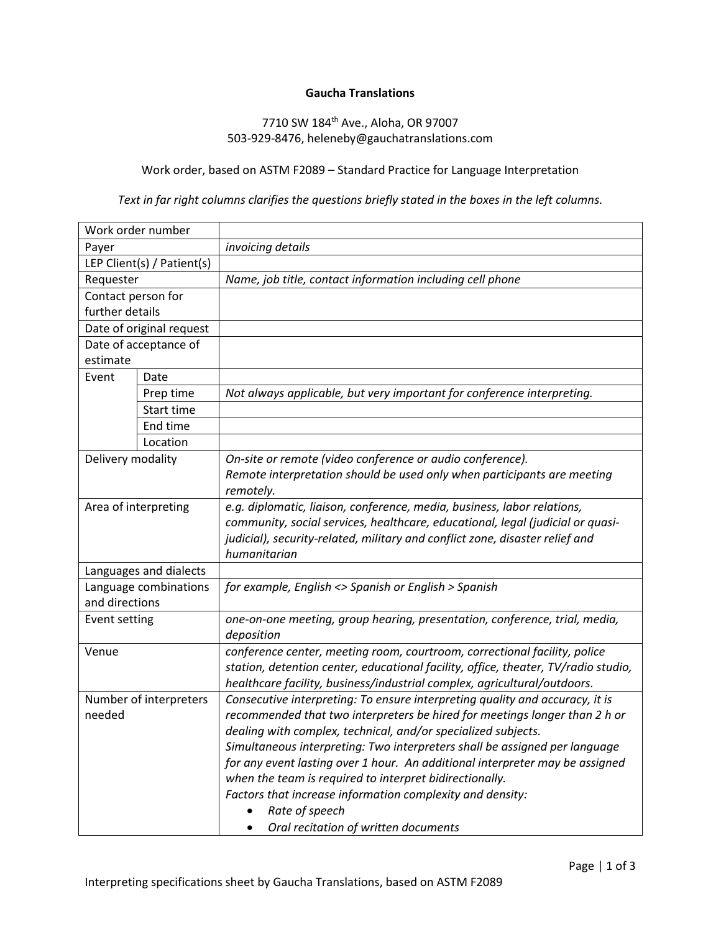## **Gaucha Translations**

## 7710 SW 184th Ave., Aloha, OR 97007 503-929-8476, heleneby@gauchatranslations.com

## Work order, based on ASTM F2089 – Standard Practice for Language Interpretation

## *Text in far right columns clarifies the questions briefly stated in the boxes in the left columns.*

| Work order number          |                          |                                                                                    |  |
|----------------------------|--------------------------|------------------------------------------------------------------------------------|--|
| Payer                      |                          | invoicing details                                                                  |  |
| LEP Client(s) / Patient(s) |                          |                                                                                    |  |
| Requester                  |                          | Name, job title, contact information including cell phone                          |  |
| Contact person for         |                          |                                                                                    |  |
| further details            |                          |                                                                                    |  |
|                            | Date of original request |                                                                                    |  |
| Date of acceptance of      |                          |                                                                                    |  |
| estimate                   |                          |                                                                                    |  |
| Event                      | Date                     |                                                                                    |  |
|                            | Prep time                | Not always applicable, but very important for conference interpreting.             |  |
|                            | Start time               |                                                                                    |  |
|                            | End time                 |                                                                                    |  |
|                            | Location                 |                                                                                    |  |
| Delivery modality          |                          | On-site or remote (video conference or audio conference).                          |  |
|                            |                          | Remote interpretation should be used only when participants are meeting            |  |
|                            |                          | remotely.                                                                          |  |
| Area of interpreting       |                          | e.g. diplomatic, liaison, conference, media, business, labor relations,            |  |
|                            |                          | community, social services, healthcare, educational, legal (judicial or quasi-     |  |
|                            |                          | judicial), security-related, military and conflict zone, disaster relief and       |  |
|                            |                          | humanitarian                                                                       |  |
| Languages and dialects     |                          |                                                                                    |  |
| Language combinations      |                          | for example, English <> Spanish or English > Spanish                               |  |
| and directions             |                          |                                                                                    |  |
| <b>Event setting</b>       |                          | one-on-one meeting, group hearing, presentation, conference, trial, media,         |  |
|                            |                          | deposition                                                                         |  |
| Venue                      |                          | conference center, meeting room, courtroom, correctional facility, police          |  |
|                            |                          | station, detention center, educational facility, office, theater, TV/radio studio, |  |
|                            |                          | healthcare facility, business/industrial complex, agricultural/outdoors.           |  |
| Number of interpreters     |                          | Consecutive interpreting: To ensure interpreting quality and accuracy, it is       |  |
| needed                     |                          | recommended that two interpreters be hired for meetings longer than 2 h or         |  |
|                            |                          | dealing with complex, technical, and/or specialized subjects.                      |  |
|                            |                          | Simultaneous interpreting: Two interpreters shall be assigned per language         |  |
|                            |                          | for any event lasting over 1 hour. An additional interpreter may be assigned       |  |
|                            |                          | when the team is required to interpret bidirectionally.                            |  |
|                            |                          | Factors that increase information complexity and density:                          |  |
|                            |                          | Rate of speech                                                                     |  |
|                            |                          | Oral recitation of written documents                                               |  |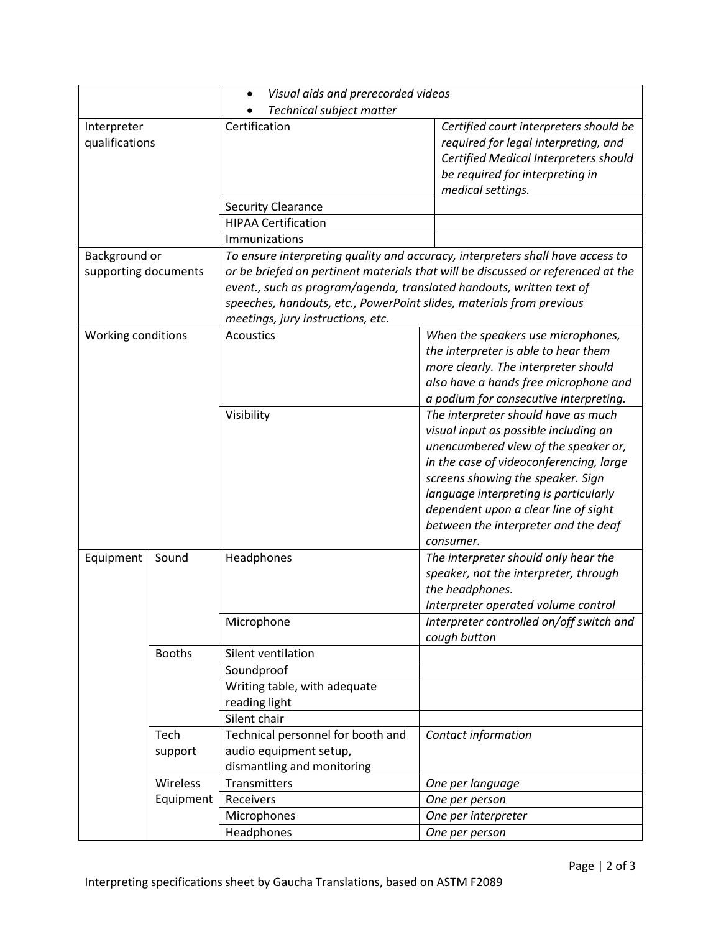|                               |                       | Visual aids and prerecorded videos                                                                                                                                                                                                                                    |                                                                                                                                                                                                                                                                                                                                            |  |  |
|-------------------------------|-----------------------|-----------------------------------------------------------------------------------------------------------------------------------------------------------------------------------------------------------------------------------------------------------------------|--------------------------------------------------------------------------------------------------------------------------------------------------------------------------------------------------------------------------------------------------------------------------------------------------------------------------------------------|--|--|
|                               |                       | Technical subject matter                                                                                                                                                                                                                                              |                                                                                                                                                                                                                                                                                                                                            |  |  |
| Interpreter<br>qualifications |                       | Certification                                                                                                                                                                                                                                                         | Certified court interpreters should be<br>required for legal interpreting, and<br>Certified Medical Interpreters should<br>be required for interpreting in<br>medical settings.                                                                                                                                                            |  |  |
|                               |                       | <b>Security Clearance</b>                                                                                                                                                                                                                                             |                                                                                                                                                                                                                                                                                                                                            |  |  |
|                               |                       | <b>HIPAA Certification</b>                                                                                                                                                                                                                                            |                                                                                                                                                                                                                                                                                                                                            |  |  |
|                               |                       | Immunizations                                                                                                                                                                                                                                                         |                                                                                                                                                                                                                                                                                                                                            |  |  |
| Background or                 |                       | To ensure interpreting quality and accuracy, interpreters shall have access to                                                                                                                                                                                        |                                                                                                                                                                                                                                                                                                                                            |  |  |
| supporting documents          |                       | or be briefed on pertinent materials that will be discussed or referenced at the<br>event., such as program/agenda, translated handouts, written text of<br>speeches, handouts, etc., PowerPoint slides, materials from previous<br>meetings, jury instructions, etc. |                                                                                                                                                                                                                                                                                                                                            |  |  |
| Working conditions            |                       | <b>Acoustics</b>                                                                                                                                                                                                                                                      | When the speakers use microphones,<br>the interpreter is able to hear them<br>more clearly. The interpreter should<br>also have a hands free microphone and<br>a podium for consecutive interpreting.                                                                                                                                      |  |  |
|                               |                       | Visibility                                                                                                                                                                                                                                                            | The interpreter should have as much<br>visual input as possible including an<br>unencumbered view of the speaker or,<br>in the case of videoconferencing, large<br>screens showing the speaker. Sign<br>language interpreting is particularly<br>dependent upon a clear line of sight<br>between the interpreter and the deaf<br>consumer. |  |  |
| Equipment                     | Sound                 | Headphones                                                                                                                                                                                                                                                            | The interpreter should only hear the<br>speaker, not the interpreter, through<br>the headphones.<br>Interpreter operated volume control                                                                                                                                                                                                    |  |  |
|                               |                       | Microphone                                                                                                                                                                                                                                                            | Interpreter controlled on/off switch and<br>cough button                                                                                                                                                                                                                                                                                   |  |  |
|                               | <b>Booths</b>         | Silent ventilation                                                                                                                                                                                                                                                    |                                                                                                                                                                                                                                                                                                                                            |  |  |
|                               |                       | Soundproof<br>Writing table, with adequate<br>reading light<br>Silent chair                                                                                                                                                                                           |                                                                                                                                                                                                                                                                                                                                            |  |  |
|                               | Tech<br>support       | Technical personnel for booth and<br>audio equipment setup,<br>dismantling and monitoring                                                                                                                                                                             | Contact information                                                                                                                                                                                                                                                                                                                        |  |  |
|                               | Wireless<br>Equipment | Transmitters                                                                                                                                                                                                                                                          | One per language                                                                                                                                                                                                                                                                                                                           |  |  |
|                               |                       | Receivers                                                                                                                                                                                                                                                             | One per person                                                                                                                                                                                                                                                                                                                             |  |  |
|                               |                       | Microphones                                                                                                                                                                                                                                                           | One per interpreter                                                                                                                                                                                                                                                                                                                        |  |  |
|                               |                       | Headphones                                                                                                                                                                                                                                                            | One per person                                                                                                                                                                                                                                                                                                                             |  |  |